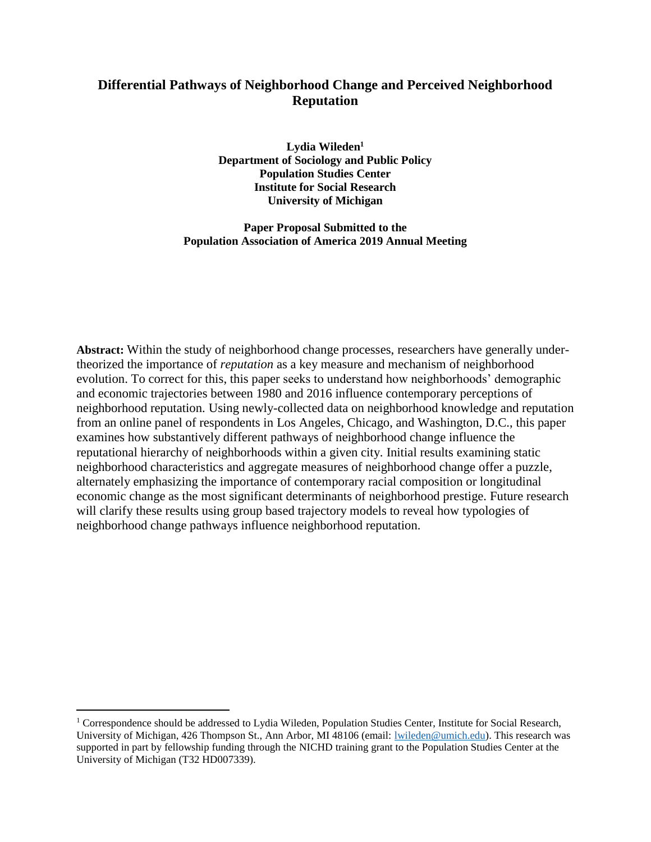# **Differential Pathways of Neighborhood Change and Perceived Neighborhood Reputation**

**Lydia Wileden<sup>1</sup> Department of Sociology and Public Policy Population Studies Center Institute for Social Research University of Michigan**

**Paper Proposal Submitted to the Population Association of America 2019 Annual Meeting**

**Abstract:** Within the study of neighborhood change processes, researchers have generally undertheorized the importance of *reputation* as a key measure and mechanism of neighborhood evolution. To correct for this, this paper seeks to understand how neighborhoods' demographic and economic trajectories between 1980 and 2016 influence contemporary perceptions of neighborhood reputation. Using newly-collected data on neighborhood knowledge and reputation from an online panel of respondents in Los Angeles, Chicago, and Washington, D.C., this paper examines how substantively different pathways of neighborhood change influence the reputational hierarchy of neighborhoods within a given city. Initial results examining static neighborhood characteristics and aggregate measures of neighborhood change offer a puzzle, alternately emphasizing the importance of contemporary racial composition or longitudinal economic change as the most significant determinants of neighborhood prestige. Future research will clarify these results using group based trajectory models to reveal how typologies of neighborhood change pathways influence neighborhood reputation.

 $\overline{a}$ 

<sup>&</sup>lt;sup>1</sup> Correspondence should be addressed to Lydia Wileden, Population Studies Center, Institute for Social Research, University of Michigan, 426 Thompson St., Ann Arbor, MI 48106 (email: [lwileden@umich.edu\)](mailto:lwileden@umich.edu). This research was supported in part by fellowship funding through the NICHD training grant to the Population Studies Center at the University of Michigan (T32 HD007339).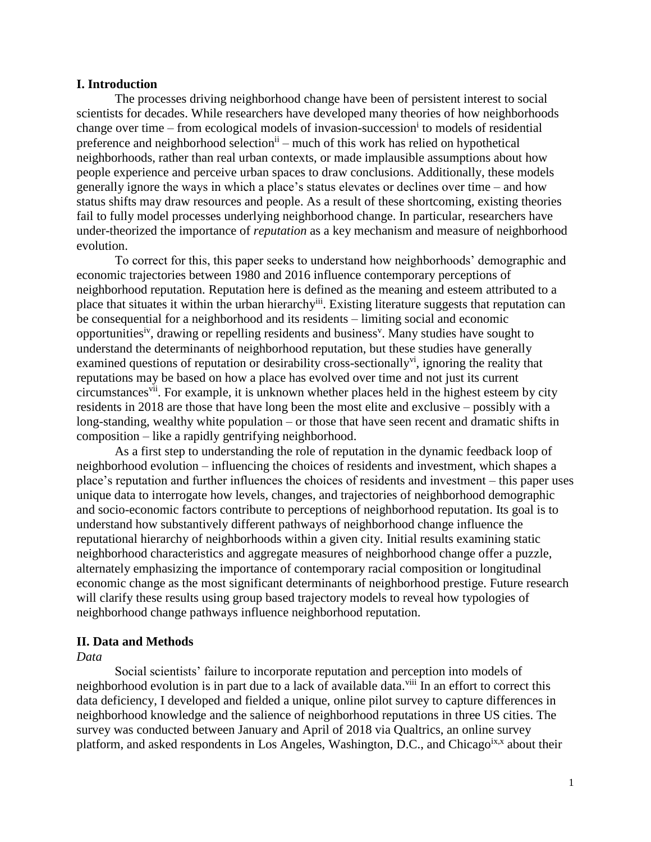## **I. Introduction**

The processes driving neighborhood change have been of persistent interest to social scientists for decades. While researchers have developed many theories of how neighborhoods change over time – from ecological models of invasion-succession<sup>i</sup> to models of residential preference and neighborhood selection<sup>ii</sup> – much of this work has relied on hypothetical neighborhoods, rather than real urban contexts, or made implausible assumptions about how people experience and perceive urban spaces to draw conclusions. Additionally, these models generally ignore the ways in which a place's status elevates or declines over time – and how status shifts may draw resources and people. As a result of these shortcoming, existing theories fail to fully model processes underlying neighborhood change. In particular, researchers have under-theorized the importance of *reputation* as a key mechanism and measure of neighborhood evolution.

To correct for this, this paper seeks to understand how neighborhoods' demographic and economic trajectories between 1980 and 2016 influence contemporary perceptions of neighborhood reputation. Reputation here is defined as the meaning and esteem attributed to a place that situates it within the urban hierarchy<sup>iii</sup>. Existing literature suggests that reputation can be consequential for a neighborhood and its residents – limiting social and economic opportunities<sup>iv</sup>, drawing or repelling residents and business<sup>v</sup>. Many studies have sought to understand the determinants of neighborhood reputation, but these studies have generally examined questions of reputation or desirability cross-sectionally<sup>vi</sup>, ignoring the reality that reputations may be based on how a place has evolved over time and not just its current circumstances<sup>vii</sup>. For example, it is unknown whether places held in the highest esteem by city residents in 2018 are those that have long been the most elite and exclusive – possibly with a long-standing, wealthy white population – or those that have seen recent and dramatic shifts in composition – like a rapidly gentrifying neighborhood.

As a first step to understanding the role of reputation in the dynamic feedback loop of neighborhood evolution – influencing the choices of residents and investment, which shapes a place's reputation and further influences the choices of residents and investment – this paper uses unique data to interrogate how levels, changes, and trajectories of neighborhood demographic and socio-economic factors contribute to perceptions of neighborhood reputation. Its goal is to understand how substantively different pathways of neighborhood change influence the reputational hierarchy of neighborhoods within a given city. Initial results examining static neighborhood characteristics and aggregate measures of neighborhood change offer a puzzle, alternately emphasizing the importance of contemporary racial composition or longitudinal economic change as the most significant determinants of neighborhood prestige. Future research will clarify these results using group based trajectory models to reveal how typologies of neighborhood change pathways influence neighborhood reputation.

#### **II. Data and Methods**

*Data*

Social scientists' failure to incorporate reputation and perception into models of neighborhood evolution is in part due to a lack of available data.<sup>viii</sup> In an effort to correct this data deficiency, I developed and fielded a unique, online pilot survey to capture differences in neighborhood knowledge and the salience of neighborhood reputations in three US cities. The survey was conducted between January and April of 2018 via Qualtrics, an online survey platform, and asked respondents in Los Angeles, Washington, D.C., and Chicago<sup>ix,x</sup> about their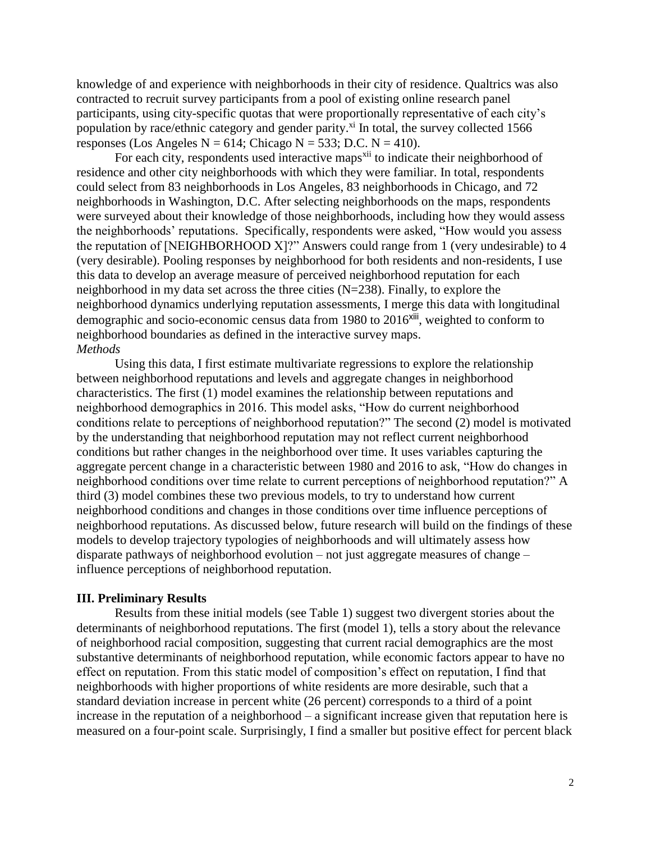knowledge of and experience with neighborhoods in their city of residence. Qualtrics was also contracted to recruit survey participants from a pool of existing online research panel participants, using city-specific quotas that were proportionally representative of each city's population by race/ethnic category and gender parity.<sup>xi</sup> In total, the survey collected 1566 responses (Los Angeles N = 614; Chicago N = 533; D.C. N = 410).

For each city, respondents used interactive maps<sup>xii</sup> to indicate their neighborhood of residence and other city neighborhoods with which they were familiar. In total, respondents could select from 83 neighborhoods in Los Angeles, 83 neighborhoods in Chicago, and 72 neighborhoods in Washington, D.C. After selecting neighborhoods on the maps, respondents were surveyed about their knowledge of those neighborhoods, including how they would assess the neighborhoods' reputations. Specifically, respondents were asked, "How would you assess the reputation of [NEIGHBORHOOD X]?" Answers could range from 1 (very undesirable) to 4 (very desirable). Pooling responses by neighborhood for both residents and non-residents, I use this data to develop an average measure of perceived neighborhood reputation for each neighborhood in my data set across the three cities (N=238). Finally, to explore the neighborhood dynamics underlying reputation assessments, I merge this data with longitudinal demographic and socio-economic census data from 1980 to 2016<sup>xiii</sup>, weighted to conform to neighborhood boundaries as defined in the interactive survey maps. *Methods*

Using this data, I first estimate multivariate regressions to explore the relationship between neighborhood reputations and levels and aggregate changes in neighborhood characteristics. The first (1) model examines the relationship between reputations and neighborhood demographics in 2016. This model asks, "How do current neighborhood conditions relate to perceptions of neighborhood reputation?" The second (2) model is motivated by the understanding that neighborhood reputation may not reflect current neighborhood conditions but rather changes in the neighborhood over time. It uses variables capturing the aggregate percent change in a characteristic between 1980 and 2016 to ask, "How do changes in neighborhood conditions over time relate to current perceptions of neighborhood reputation?" A third (3) model combines these two previous models, to try to understand how current neighborhood conditions and changes in those conditions over time influence perceptions of neighborhood reputations. As discussed below, future research will build on the findings of these models to develop trajectory typologies of neighborhoods and will ultimately assess how disparate pathways of neighborhood evolution – not just aggregate measures of change – influence perceptions of neighborhood reputation.

## **III. Preliminary Results**

Results from these initial models (see Table 1) suggest two divergent stories about the determinants of neighborhood reputations. The first (model 1), tells a story about the relevance of neighborhood racial composition, suggesting that current racial demographics are the most substantive determinants of neighborhood reputation, while economic factors appear to have no effect on reputation. From this static model of composition's effect on reputation, I find that neighborhoods with higher proportions of white residents are more desirable, such that a standard deviation increase in percent white (26 percent) corresponds to a third of a point increase in the reputation of a neighborhood – a significant increase given that reputation here is measured on a four-point scale. Surprisingly, I find a smaller but positive effect for percent black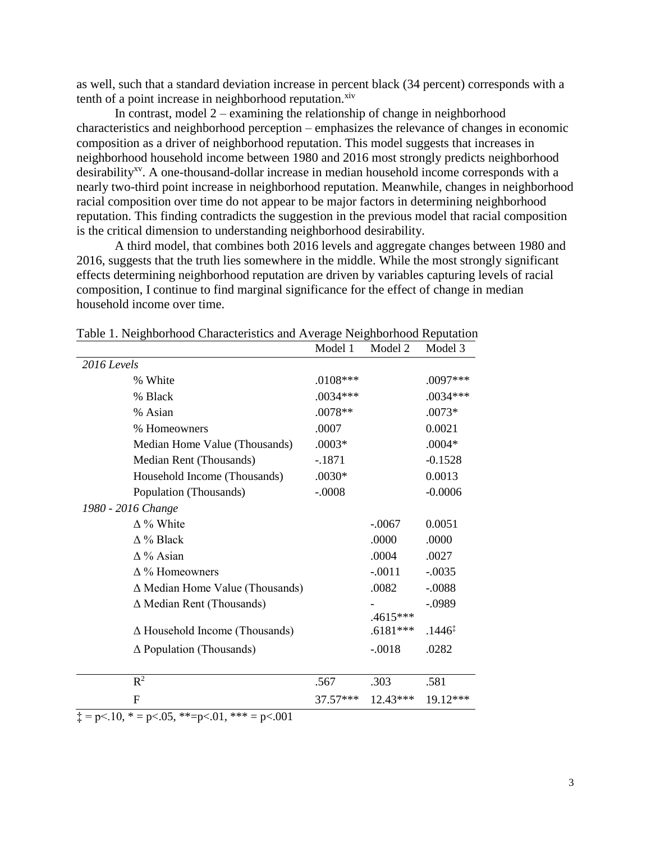as well, such that a standard deviation increase in percent black (34 percent) corresponds with a tenth of a point increase in neighborhood reputation. $x<sub>iv</sub>$ 

In contrast, model  $2 -$  examining the relationship of change in neighborhood characteristics and neighborhood perception – emphasizes the relevance of changes in economic composition as a driver of neighborhood reputation. This model suggests that increases in neighborhood household income between 1980 and 2016 most strongly predicts neighborhood desirability<sup>xv</sup>. A one-thousand-dollar increase in median household income corresponds with a nearly two-third point increase in neighborhood reputation. Meanwhile, changes in neighborhood racial composition over time do not appear to be major factors in determining neighborhood reputation. This finding contradicts the suggestion in the previous model that racial composition is the critical dimension to understanding neighborhood desirability.

A third model, that combines both 2016 levels and aggregate changes between 1980 and 2016, suggests that the truth lies somewhere in the middle. While the most strongly significant effects determining neighborhood reputation are driven by variables capturing levels of racial composition, I continue to find marginal significance for the effect of change in median household income over time.

|                                                                  | Model 1    | Model 2    | Model 3            |
|------------------------------------------------------------------|------------|------------|--------------------|
| $2016$ Levels                                                    |            |            |                    |
| % White                                                          | $.0108***$ |            | .0097***           |
| % Black                                                          | $.0034***$ |            | $.0034***$         |
| % Asian                                                          | .0078**    |            | $.0073*$           |
| % Homeowners                                                     | .0007      |            | 0.0021             |
| Median Home Value (Thousands)                                    | $.0003*$   |            | $.0004*$           |
| Median Rent (Thousands)                                          | $-1871$    |            | $-0.1528$          |
| Household Income (Thousands)                                     | $.0030*$   |            | 0.0013             |
| Population (Thousands)                                           | $-.0008$   |            | $-0.0006$          |
| 1980 - 2016 Change                                               |            |            |                    |
| $\Delta$ % White                                                 |            | $-.0067$   | 0.0051             |
| $\Delta$ % Black                                                 |            | .0000      | .0000              |
| $\Delta\%$ Asian                                                 |            | .0004      | .0027              |
| $\Delta$ % Homeowners                                            |            | $-.0011$   | $-.0035$           |
| $\Delta$ Median Home Value (Thousands)                           |            | .0082      | $-.0088$           |
| $\Delta$ Median Rent (Thousands)                                 |            |            | $-.0989$           |
|                                                                  |            | .4615***   |                    |
| $\Delta$ Household Income (Thousands)                            |            | $.6181***$ | $.1446^{\ddagger}$ |
| $\Delta$ Population (Thousands)                                  |            | $-.0018$   | .0282              |
|                                                                  |            |            |                    |
| $R^2$                                                            | .567       | .303       | .581               |
| F<br>$\bigcap_{i=1}^n$ $\bigcup_{i=1}^n$<br>$0.1$ shakes<br>0.01 | 37.57***   | $12.43***$ | $19.12***$         |

Table 1. Neighborhood Characteristics and Average Neighborhood Reputation

 $\ddagger$  = p<.10, \* = p<.05, \*\*=p<.01, \*\*\* = p<.001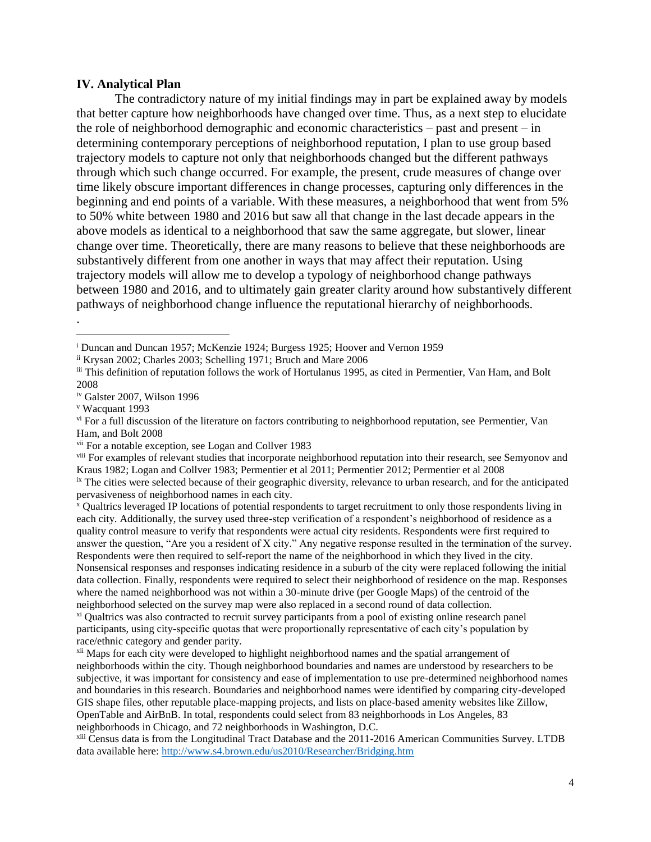## **IV. Analytical Plan**

The contradictory nature of my initial findings may in part be explained away by models that better capture how neighborhoods have changed over time. Thus, as a next step to elucidate the role of neighborhood demographic and economic characteristics – past and present – in determining contemporary perceptions of neighborhood reputation, I plan to use group based trajectory models to capture not only that neighborhoods changed but the different pathways through which such change occurred. For example, the present, crude measures of change over time likely obscure important differences in change processes, capturing only differences in the beginning and end points of a variable. With these measures, a neighborhood that went from 5% to 50% white between 1980 and 2016 but saw all that change in the last decade appears in the above models as identical to a neighborhood that saw the same aggregate, but slower, linear change over time. Theoretically, there are many reasons to believe that these neighborhoods are substantively different from one another in ways that may affect their reputation. Using trajectory models will allow me to develop a typology of neighborhood change pathways between 1980 and 2016, and to ultimately gain greater clarity around how substantively different pathways of neighborhood change influence the reputational hierarchy of neighborhoods.

.

 $\overline{a}$ 

vii For a notable exception, see Logan and Collver 1983

<sup>x</sup> Qualtrics leveraged IP locations of potential respondents to target recruitment to only those respondents living in each city. Additionally, the survey used three-step verification of a respondent's neighborhood of residence as a quality control measure to verify that respondents were actual city residents. Respondents were first required to answer the question, "Are you a resident of X city." Any negative response resulted in the termination of the survey. Respondents were then required to self-report the name of the neighborhood in which they lived in the city. Nonsensical responses and responses indicating residence in a suburb of the city were replaced following the initial data collection. Finally, respondents were required to select their neighborhood of residence on the map. Responses where the named neighborhood was not within a 30-minute drive (per Google Maps) of the centroid of the neighborhood selected on the survey map were also replaced in a second round of data collection.

xi Qualtrics was also contracted to recruit survey participants from a pool of existing online research panel participants, using city-specific quotas that were proportionally representative of each city's population by race/ethnic category and gender parity.

<sup>xii</sup> Maps for each city were developed to highlight neighborhood names and the spatial arrangement of neighborhoods within the city. Though neighborhood boundaries and names are understood by researchers to be subjective, it was important for consistency and ease of implementation to use pre-determined neighborhood names and boundaries in this research. Boundaries and neighborhood names were identified by comparing city-developed GIS shape files, other reputable place-mapping projects, and lists on place-based amenity websites like Zillow, OpenTable and AirBnB. In total, respondents could select from 83 neighborhoods in Los Angeles, 83 neighborhoods in Chicago, and 72 neighborhoods in Washington, D.C.

xiii Census data is from the Longitudinal Tract Database and the 2011-2016 American Communities Survey. LTDB data available here:<http://www.s4.brown.edu/us2010/Researcher/Bridging.htm>

<sup>i</sup> Duncan and Duncan 1957; McKenzie 1924; Burgess 1925; Hoover and Vernon 1959

ii Krysan 2002; Charles 2003; Schelling 1971; Bruch and Mare 2006

iii This definition of reputation follows the work of Hortulanus 1995, as cited in Permentier, Van Ham, and Bolt 2008

iv Galster 2007, Wilson 1996

<sup>v</sup> Wacquant 1993

vi For a full discussion of the literature on factors contributing to neighborhood reputation, see Permentier, Van Ham, and Bolt 2008

<sup>&</sup>lt;sup>viii</sup> For examples of relevant studies that incorporate neighborhood reputation into their research, see Semyonov and Kraus 1982; Logan and Collver 1983; Permentier et al 2011; Permentier 2012; Permentier et al 2008

ix The cities were selected because of their geographic diversity, relevance to urban research, and for the anticipated pervasiveness of neighborhood names in each city.